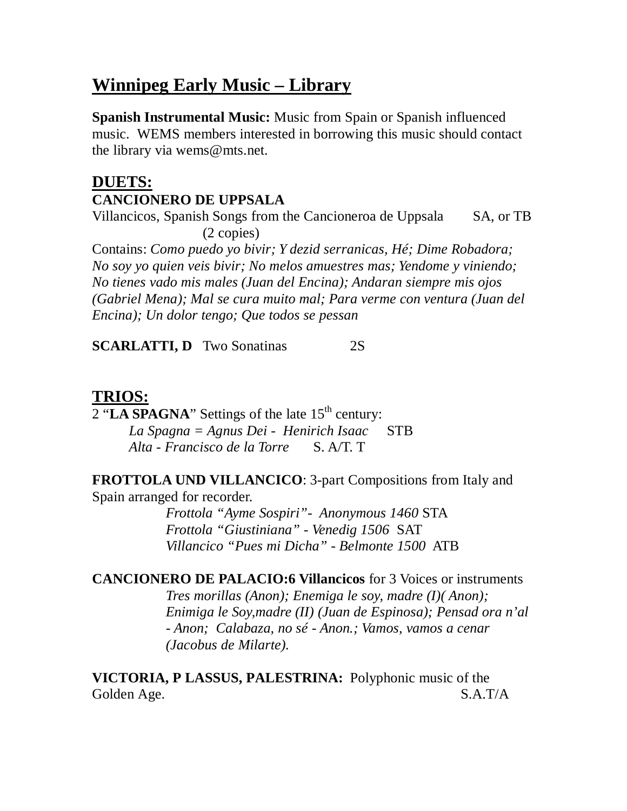# **Winnipeg Early Music – Library**

**Spanish Instrumental Music:** Music from Spain or Spanish influenced music. WEMS members interested in borrowing this music should contact the library via wems@mts.net.

## **DUETS: CANCIONERO DE UPPSALA**

Villancicos, Spanish Songs from the Cancioneroa de Uppsala SA, or TB (2 copies)

Contains: *Como puedo yo bivir; Y dezid serranicas, Hé; Dime Robadora; No soy yo quien veis bivir; No melos amuestres mas; Yendome y viniendo; No tienes vado mis males (Juan del Encina); Andaran siempre mis ojos (Gabriel Mena); Mal se cura muito mal; Para verme con ventura (Juan del Encina); Un dolor tengo; Que todos se pessan* 

**SCARLATTI, D** Two Sonatinas 2S

#### **TRIOS:**

 $2$  "**LA SPAGNA**" Settings of the late  $15<sup>th</sup>$  century: *La Spagna = Agnus Dei - Henirich Isaac* STB *Alta - Francisco de la Torre* S. A/T. T

**FROTTOLA UND VILLANCICO**: 3-part Compositions from Italy and Spain arranged for recorder.

> *Frottola "Ayme Sospiri"- Anonymous 1460* STA *Frottola "Giustiniana" - Venedig 1506* SAT *Villancico "Pues mi Dicha" - Belmonte 1500* ATB

**CANCIONERO DE PALACIO:6 Villancicos** for 3 Voices or instruments *Tres morillas (Anon); Enemiga le soy, madre (I)( Anon); Enimiga le Soy,madre (II) (Juan de Espinosa); Pensad ora n'al - Anon; Calabaza, no sé - Anon.; Vamos, vamos a cenar (Jacobus de Milarte).* 

**VICTORIA, P LASSUS, PALESTRINA:** Polyphonic music of the Golden Age. S.A.T/A